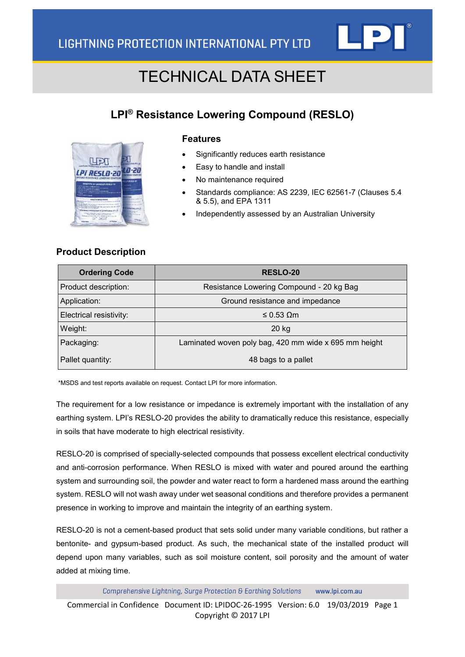

### **LPI® Resistance Lowering Compound (RESLO)**



#### **Features**

- Significantly reduces earth resistance
- Easy to handle and install
- No maintenance required
- Standards compliance: AS 2239, IEC 62561-7 (Clauses 5.4 & 5.5), and EPA 1311
- Independently assessed by an Australian University

#### **Product Description**

| <b>Ordering Code</b>    | <b>RESLO-20</b>                                       |  |
|-------------------------|-------------------------------------------------------|--|
| Product description:    | Resistance Lowering Compound - 20 kg Bag              |  |
| Application:            | Ground resistance and impedance                       |  |
| Electrical resistivity: | $≤$ 0.53 Ωm                                           |  |
| Weight:                 | $20$ kg                                               |  |
| Packaging:              | Laminated woven poly bag, 420 mm wide x 695 mm height |  |
| Pallet quantity:        | 48 bags to a pallet                                   |  |

\*MSDS and test reports available on request. Contact LPI for more information.

The requirement for a low resistance or impedance is extremely important with the installation of any earthing system. LPI's RESLO-20 provides the ability to dramatically reduce this resistance, especially in soils that have moderate to high electrical resistivity.

RESLO-20 is comprised of specially-selected compounds that possess excellent electrical conductivity and anti-corrosion performance. When RESLO is mixed with water and poured around the earthing system and surrounding soil, the powder and water react to form a hardened mass around the earthing system. RESLO will not wash away under wet seasonal conditions and therefore provides a permanent presence in working to improve and maintain the integrity of an earthing system.

RESLO-20 is not a cement-based product that sets solid under many variable conditions, but rather a bentonite- and gypsum-based product. As such, the mechanical state of the installed product will depend upon many variables, such as soil moisture content, soil porosity and the amount of water added at mixing time.

Comprehensive Lightning, Surge Protection & Earthing Solutions www.lpi.com.au Commercial in Confidence Document ID: LPIDOC-26-1995 Version: 6.0 19/03/2019 Page 1 Copyright © 2017 LPI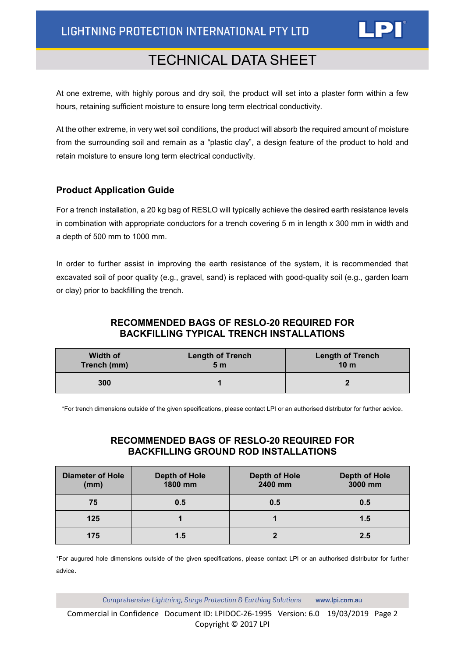

At one extreme, with highly porous and dry soil, the product will set into a plaster form within a few hours, retaining sufficient moisture to ensure long term electrical conductivity.

At the other extreme, in very wet soil conditions, the product will absorb the required amount of moisture from the surrounding soil and remain as a "plastic clay", a design feature of the product to hold and retain moisture to ensure long term electrical conductivity.

#### **Product Application Guide**

For a trench installation, a 20 kg bag of RESLO will typically achieve the desired earth resistance levels in combination with appropriate conductors for a trench covering 5 m in length x 300 mm in width and a depth of 500 mm to 1000 mm.

In order to further assist in improving the earth resistance of the system, it is recommended that excavated soil of poor quality (e.g., gravel, sand) is replaced with good-quality soil (e.g., garden loam or clay) prior to backfilling the trench.

#### **RECOMMENDED BAGS OF RESLO-20 REQUIRED FOR BACKFILLING TYPICAL TRENCH INSTALLATIONS**

| <b>Width of</b> | <b>Length of Trench</b> | <b>Length of Trench</b> |
|-----------------|-------------------------|-------------------------|
| Trench (mm)     | 5 <sub>m</sub>          | 10 <sub>m</sub>         |
| 300             |                         |                         |

\*For trench dimensions outside of the given specifications, please contact LPI or an authorised distributor for further advice.

#### **RECOMMENDED BAGS OF RESLO-20 REQUIRED FOR BACKFILLING GROUND ROD INSTALLATIONS**

| <b>Diameter of Hole</b><br>(mm) | Depth of Hole<br>1800 mm | <b>Depth of Hole</b><br>2400 mm | Depth of Hole<br>3000 mm |
|---------------------------------|--------------------------|---------------------------------|--------------------------|
| 75                              | 0.5                      | 0.5                             | 0.5                      |
| 125                             |                          |                                 | 1.5                      |
| 175                             | 1.5                      |                                 | 2.5                      |

\*For augured hole dimensions outside of the given specifications, please contact LPI or an authorised distributor for further advice.

> Comprehensive Lightning, Surge Protection & Earthing Solutions www.lpi.com.au

Commercial in Confidence Document ID: LPIDOC-26-1995 Version: 6.0 19/03/2019 Page 2 Copyright © 2017 LPI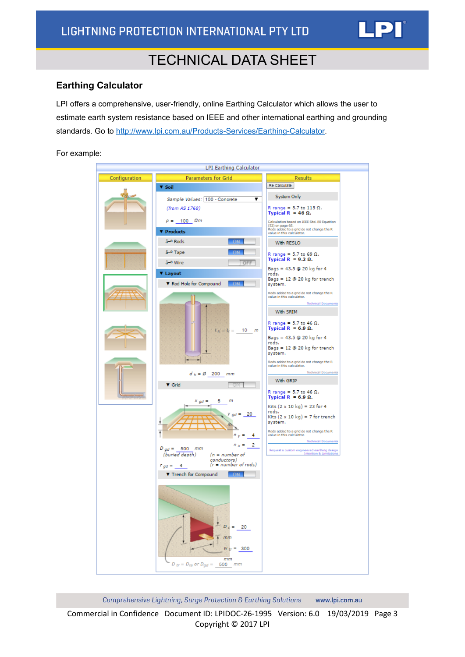

#### **Earthing Calculator**

LPI offers a comprehensive, user-friendly, online Earthing Calculator which allows the user to estimate earth system resistance based on IEEE and other international earthing and grounding standards. Go to [http://www.lpi.com.au/Products-Services/Earthing-Calculator.](http://www.lpi.com.au/Products-Services/Earthing-Calculator)

For example:

|               | <b>LPI Earthing Calculator</b>                                                     |                                                                                           |
|---------------|------------------------------------------------------------------------------------|-------------------------------------------------------------------------------------------|
|               |                                                                                    |                                                                                           |
| Configuration | <b>Parameters for Grid</b><br><b>V</b> Soil                                        | <b>Results</b><br>Re Calculate                                                            |
|               |                                                                                    |                                                                                           |
|               | Sample Values: 100 - Concrete<br>▼                                                 | System Only                                                                               |
|               | (from AS 1768)                                                                     | R range = 5.7 to 115 $\Omega$ .<br>Typical R = 46 $\Omega$ .                              |
|               | $\rho = 100 \Omega m$                                                              | Calculation based on IEEE Std. 80 Equation                                                |
|               | <b>V</b> Products                                                                  | (52) on page 65.<br>Rods added to a grid do not change the R<br>value in this calculator. |
|               | â-º Rods<br>ΘΝ                                                                     | With RESLO                                                                                |
|               | â-º Tape                                                                           |                                                                                           |
|               | â-º Wire<br>OFF                                                                    | R range = 5.7 to 69 $\Omega$ .<br>Typical R = $9.2 \Omega$ .                              |
|               |                                                                                    | Bags = $43.5 \oplus 20$ kg for 4                                                          |
|               | <b>V</b> Layout                                                                    | rods.<br>Bags = $12 \oplus 20$ kg for trench                                              |
|               | ▼ Rod Hole for Compound<br><b>ON</b>                                               | system.                                                                                   |
|               |                                                                                    | Rods added to a grid do not change the R<br>value in this calculator.                     |
|               |                                                                                    | <b>Technical Docum</b><br>With SRIM                                                       |
|               |                                                                                    |                                                                                           |
|               | $l_{h} = l_{r} = 10$ m                                                             | R range = 5.7 to 46 $\Omega$ .<br>Typical R = $6.9 \Omega$ .                              |
|               |                                                                                    | Bags = $43.5 \oplus 20$ kg for 4                                                          |
|               |                                                                                    | rods.<br>Bags = $12 \oplus 20$ kg for trench                                              |
|               |                                                                                    | system.<br>Rods added to a grid do not change the R                                       |
|               |                                                                                    | value in this calculator.<br><b>Technical Decuments</b>                                   |
|               | $d_h = \emptyset$ 200 mm                                                           | With GRIP                                                                                 |
|               | V Grid                                                                             | R range = 5.7 to 46 $\Omega$ .                                                            |
|               | 5.<br>m<br>$x_{gd} =$                                                              | Typical R = $6.9 \Omega$ .                                                                |
|               |                                                                                    | Kits $(2 \times 10 \text{ kg}) = 23$ for 4<br>rods.                                       |
|               | $y_{gd} = 20$                                                                      | Kits $(2 \times 10 \text{ kg}) = 7$ for trench                                            |
|               |                                                                                    | system.<br>Rods added to a grid do not change the R                                       |
|               | $n_v = 4$                                                                          | value in this calculator.<br><b>Technical Documents</b>                                   |
|               | $n_x = 2$<br>$D_{ad} = 500$ mm                                                     |                                                                                           |
|               | (buried depth)<br>$(n = number of$<br>conductors)                                  | Request a custom engineered earthing design<br>Intention & Limitations                    |
|               | $(r = number of rods)$<br>$r_{qd} = 4$                                             |                                                                                           |
|               | ▼ Trench for Compound<br>$-ON$                                                     |                                                                                           |
|               |                                                                                    |                                                                                           |
|               |                                                                                    |                                                                                           |
|               |                                                                                    |                                                                                           |
|               |                                                                                    |                                                                                           |
|               | $= 20$<br>D                                                                        |                                                                                           |
|               | mm                                                                                 |                                                                                           |
|               |                                                                                    |                                                                                           |
|               | $W_{tr} = 300$                                                                     |                                                                                           |
|               | mm<br>$D_{tr} = D_{ra}$ or $D_{gd} = \underline{\hspace{2cm} 500} \hspace{2cm} mm$ |                                                                                           |
|               |                                                                                    |                                                                                           |

Comprehensive Lightning, Surge Protection & Earthing Solutions www.lpi.com.au

Commercial in Confidence Document ID: LPIDOC-26-1995 Version: 6.0 19/03/2019 Page 3 Copyright © 2017 LPI